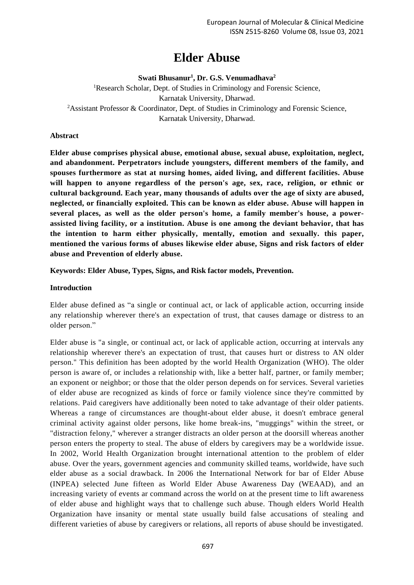# **Elder Abuse**

**Swati Bhusanur<sup>1</sup> , Dr. G.S. Venumadhava<sup>2</sup>**

<sup>1</sup>Research Scholar, Dept. of Studies in Criminology and Forensic Science, Karnatak University, Dharwad. <sup>2</sup>Assistant Professor & Coordinator, Dept. of Studies in Criminology and Forensic Science, Karnatak University, Dharwad.

## **Abstract**

**Elder abuse comprises physical abuse, emotional abuse, sexual abuse, exploitation, neglect, and abandonment. Perpetrators include youngsters, different members of the family, and spouses furthermore as stat at nursing homes, aided living, and different facilities. Abuse will happen to anyone regardless of the person's age, sex, race, religion, or ethnic or cultural background. Each year, many thousands of adults over the age of sixty are abused, neglected, or financially exploited. This can be known as elder abuse. Abuse will happen in several places, as well as the older person's home, a family member's house, a powerassisted living facility, or a institution. Abuse is one among the deviant behavior, that has the intention to harm either physically, mentally, emotion and sexually. this paper, mentioned the various forms of abuses likewise elder abuse, Signs and risk factors of elder abuse and Prevention of elderly abuse.**

**Keywords: Elder Abuse, Types, Signs, and Risk factor models, Prevention.**

## **Introduction**

Elder abuse defined as "a single or continual act, or lack of applicable action, occurring inside any relationship wherever there's an expectation of trust, that causes damage or distress to an older person."

Elder abuse is "a single, or continual act, or lack of applicable action, occurring at intervals any relationship wherever there's an expectation of trust, that causes hurt or distress to AN older person." This definition has been adopted by the world Health Organization (WHO). The older person is aware of, or includes a relationship with, like a better half, partner, or family member; an exponent or neighbor; or those that the older person depends on for services. Several varieties of elder abuse are recognized as kinds of force or family violence since they're committed by relations. Paid caregivers have additionally been noted to take advantage of their older patients. Whereas a range of circumstances are thought-about elder abuse, it doesn't embrace general criminal activity against older persons, like home break-ins, "muggings" within the street, or "distraction felony," wherever a stranger distracts an older person at the doorsill whereas another person enters the property to steal. The abuse of elders by caregivers may be a worldwide issue. In 2002, World Health Organization brought international attention to the problem of elder abuse. Over the years, government agencies and community skilled teams, worldwide, have such elder abuse as a social drawback. In 2006 the International Network for bar of Elder Abuse (INPEA) selected June fifteen as World Elder Abuse Awareness Day (WEAAD), and an increasing variety of events ar command across the world on at the present time to lift awareness of elder abuse and highlight ways that to challenge such abuse. Though elders World Health Organization have insanity or mental state usually build false accusations of stealing and different varieties of abuse by caregivers or relations, all reports of abuse should be investigated.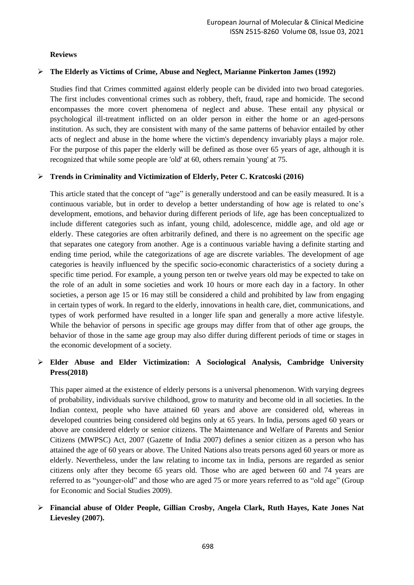## **Reviews**

## ➢ **The Elderly as Victims of Crime, Abuse and Neglect, Marianne Pinkerton James (1992)**

Studies find that Crimes committed against elderly people can be divided into two broad categories. The first includes conventional crimes such as robbery, theft, fraud, rape and homicide. The second encompasses the more covert phenomena of neglect and abuse. These entail any physical or psychological ill-treatment inflicted on an older person in either the home or an aged-persons institution. As such, they are consistent with many of the same patterns of behavior entailed by other acts of neglect and abuse in the home where the victim's dependency invariably plays a major role. For the purpose of this paper the elderly will be defined as those over 65 years of age, although it is recognized that while some people are 'old' at 60, others remain 'young' at 75.

## ➢ **Trends in Criminality and Victimization of Elderly, Peter C. Kratcoski (2016)**

This article stated that the concept of "age" is generally understood and can be easily measured. It is a continuous variable, but in order to develop a better understanding of how age is related to one's development, emotions, and behavior during different periods of life, age has been conceptualized to include different categories such as infant, young child, adolescence, middle age, and old age or elderly. These categories are often arbitrarily defined, and there is no agreement on the specific age that separates one category from another. Age is a continuous variable having a definite starting and ending time period, while the categorizations of age are discrete variables. The development of age categories is heavily influenced by the specific socio-economic characteristics of a society during a specific time period. For example, a young person ten or twelve years old may be expected to take on the role of an adult in some societies and work 10 hours or more each day in a factory. In other societies, a person age 15 or 16 may still be considered a child and prohibited by law from engaging in certain types of work. In regard to the elderly, innovations in health care, diet, communications, and types of work performed have resulted in a longer life span and generally a more active lifestyle. While the behavior of persons in specific age groups may differ from that of other age groups, the behavior of those in the same age group may also differ during different periods of time or stages in the economic development of a society.

## ➢ **Elder Abuse and Elder Victimization: A Sociological Analysis, Cambridge University Press(2018)**

This paper aimed at the existence of elderly persons is a universal phenomenon. With varying degrees of probability, individuals survive childhood, grow to maturity and become old in all societies. In the Indian context, people who have attained 60 years and above are considered old, whereas in developed countries being considered old begins only at 65 years. In India, persons aged 60 years or above are considered elderly or senior citizens. The Maintenance and Welfare of Parents and Senior Citizens (MWPSC) Act, 2007 (Gazette of India 2007) defines a senior citizen as a person who has attained the age of 60 years or above. The United Nations also treats persons aged 60 years or more as elderly. Nevertheless, under the law relating to income tax in India, persons are regarded as senior citizens only after they become 65 years old. Those who are aged between 60 and 74 years are referred to as "younger-old" and those who are aged 75 or more years referred to as "old age" (Group for Economic and Social Studies 2009).

## ➢ **Financial abuse of Older People, Gillian Crosby, Angela Clark, Ruth Hayes, Kate Jones Nat Lievesley (2007).**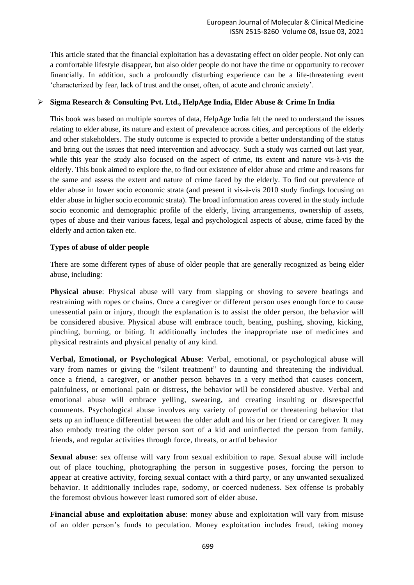This article stated that the financial exploitation has a devastating effect on older people. Not only can a comfortable lifestyle disappear, but also older people do not have the time or opportunity to recover financially. In addition, such a profoundly disturbing experience can be a life-threatening event 'characterized by fear, lack of trust and the onset, often, of acute and chronic anxiety'.

## ➢ **Sigma Research & Consulting Pvt. Ltd., HelpAge India, Elder Abuse & Crime In India**

This book was based on multiple sources of data, HelpAge India felt the need to understand the issues relating to elder abuse, its nature and extent of prevalence across cities, and perceptions of the elderly and other stakeholders. The study outcome is expected to provide a better understanding of the status and bring out the issues that need intervention and advocacy. Such a study was carried out last year, while this year the study also focused on the aspect of crime, its extent and nature vis-à-vis the elderly. This book aimed to explore the, to find out existence of elder abuse and crime and reasons for the same and assess the extent and nature of crime faced by the elderly. To find out prevalence of elder abuse in lower socio economic strata (and present it vis-à-vis 2010 study findings focusing on elder abuse in higher socio economic strata). The broad information areas covered in the study include socio economic and demographic profile of the elderly, living arrangements, ownership of assets, types of abuse and their various facets, legal and psychological aspects of abuse, crime faced by the elderly and action taken etc.

## **Types of abuse of older people**

There are some different types of abuse of older people that are generally recognized as being elder abuse, including:

**Physical abuse**: Physical abuse will vary from slapping or shoving to severe beatings and restraining with ropes or chains. Once a caregiver or different person uses enough force to cause unessential pain or injury, though the explanation is to assist the older person, the behavior will be considered abusive. Physical abuse will embrace touch, beating, pushing, shoving, kicking, pinching, burning, or biting. It additionally includes the inappropriate use of medicines and physical restraints and physical penalty of any kind.

**Verbal, Emotional, or Psychological Abuse**: Verbal, emotional, or psychological abuse will vary from names or giving the "silent treatment" to daunting and threatening the individual. once a friend, a caregiver, or another person behaves in a very method that causes concern, painfulness, or emotional pain or distress, the behavior will be considered abusive. Verbal and emotional abuse will embrace yelling, swearing, and creating insulting or disrespectful comments. Psychological abuse involves any variety of powerful or threatening behavior that sets up an influence differential between the older adult and his or her friend or caregiver. It may also embody treating the older person sort of a kid and uninflected the person from family, friends, and regular activities through force, threats, or artful behavior

**Sexual abuse**: sex offense will vary from sexual exhibition to rape. Sexual abuse will include out of place touching, photographing the person in suggestive poses, forcing the person to appear at creative activity, forcing sexual contact with a third party, or any unwanted sexualized behavior. It additionally includes rape, sodomy, or coerced nudeness. Sex offense is probably the foremost obvious however least rumored sort of elder abuse.

**Financial abuse and exploitation abuse**: money abuse and exploitation will vary from misuse of an older person's funds to peculation. Money exploitation includes fraud, taking money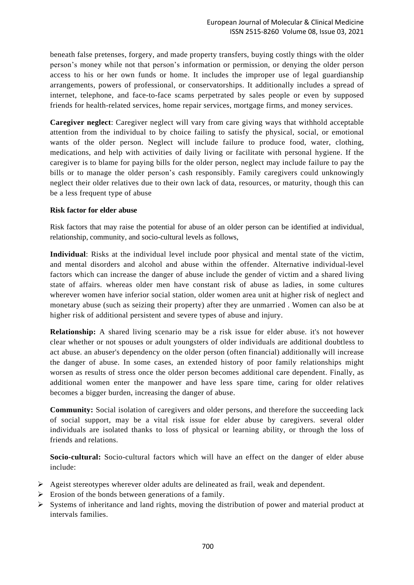beneath false pretenses, forgery, and made property transfers, buying costly things with the older person's money while not that person's information or permission, or denying the older person access to his or her own funds or home. It includes the improper use of legal guardianship arrangements, powers of professional, or conservatorships. It additionally includes a spread of internet, telephone, and face-to-face scams perpetrated by sales people or even by supposed friends for health-related services, home repair services, mortgage firms, and money services.

**Caregiver neglect**: Caregiver neglect will vary from care giving ways that withhold acceptable attention from the individual to by choice failing to satisfy the physical, social, or emotional wants of the older person. Neglect will include failure to produce food, water, clothing, medications, and help with activities of daily living or facilitate with personal hygiene. If the caregiver is to blame for paying bills for the older person, neglect may include failure to pay the bills or to manage the older person's cash responsibly. Family caregivers could unknowingly neglect their older relatives due to their own lack of data, resources, or maturity, though this can be a less frequent type of abuse

#### **Risk factor for elder abuse**

Risk factors that may raise the potential for abuse of an older person can be identified at individual, relationship, community, and socio-cultural levels as follows,

**Individual**: Risks at the individual level include poor physical and mental state of the victim, and mental disorders and alcohol and abuse within the offender. Alternative individual-level factors which can increase the danger of abuse include the gender of victim and a shared living state of affairs. whereas older men have constant risk of abuse as ladies, in some cultures wherever women have inferior social station, older women area unit at higher risk of neglect and monetary abuse (such as seizing their property) after they are unmarried . Women can also be at higher risk of additional persistent and severe types of abuse and injury.

**Relationship:** A shared living scenario may be a risk issue for elder abuse. it's not however clear whether or not spouses or adult youngsters of older individuals are additional doubtless to act abuse. an abuser's dependency on the older person (often financial) additionally will increase the danger of abuse. In some cases, an extended history of poor family relationships might worsen as results of stress once the older person becomes additional care dependent. Finally, as additional women enter the manpower and have less spare time, caring for older relatives becomes a bigger burden, increasing the danger of abuse.

**Community:** Social isolation of caregivers and older persons, and therefore the succeeding lack of social support, may be a vital risk issue for elder abuse by caregivers. several older individuals are isolated thanks to loss of physical or learning ability, or through the loss of friends and relations.

**Socio-cultural:** Socio-cultural factors which will have an effect on the danger of elder abuse include:

- ➢ Ageist stereotypes wherever older adults are delineated as frail, weak and dependent.
- $\triangleright$  Erosion of the bonds between generations of a family.
- $\triangleright$  Systems of inheritance and land rights, moving the distribution of power and material product at intervals families.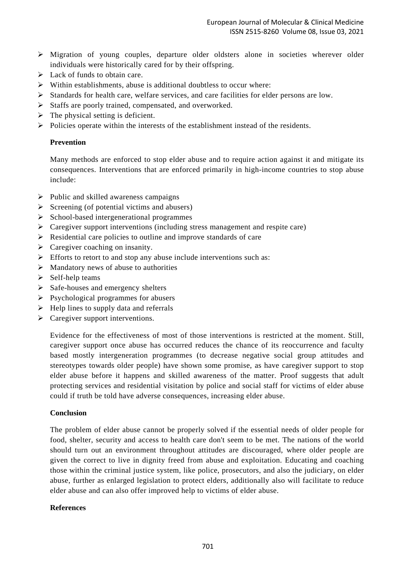- ➢ Migration of young couples, departure older oldsters alone in societies wherever older individuals were historically cared for by their offspring.
- $\triangleright$  Lack of funds to obtain care.
- ➢ Within establishments, abuse is additional doubtless to occur where:
- ➢ Standards for health care, welfare services, and care facilities for elder persons are low.
- ➢ Staffs are poorly trained, compensated, and overworked.
- $\triangleright$  The physical setting is deficient.
- ➢ Policies operate within the interests of the establishment instead of the residents.

## **Prevention**

Many methods are enforced to stop elder abuse and to require action against it and mitigate its consequences. Interventions that are enforced primarily in high-income countries to stop abuse include:

- $\triangleright$  Public and skilled awareness campaigns
- $\triangleright$  Screening (of potential victims and abusers)
- ➢ School-based intergenerational programmes
- ➢ Caregiver support interventions (including stress management and respite care)
- ➢ Residential care policies to outline and improve standards of care
- $\triangleright$  Caregiver coaching on insanity.
- $\triangleright$  Efforts to retort to and stop any abuse include interventions such as:
- $\triangleright$  Mandatory news of abuse to authorities
- $\triangleright$  Self-help teams
- $\triangleright$  Safe-houses and emergency shelters
- $\triangleright$  Psychological programmes for abusers
- $\triangleright$  Help lines to supply data and referrals
- $\triangleright$  Caregiver support interventions.

Evidence for the effectiveness of most of those interventions is restricted at the moment. Still, caregiver support once abuse has occurred reduces the chance of its reoccurrence and faculty based mostly intergeneration programmes (to decrease negative social group attitudes and stereotypes towards older people) have shown some promise, as have caregiver support to stop elder abuse before it happens and skilled awareness of the matter. Proof suggests that adult protecting services and residential visitation by police and social staff for victims of elder abuse could if truth be told have adverse consequences, increasing elder abuse.

## **Conclusion**

The problem of elder abuse cannot be properly solved if the essential needs of older people for food, shelter, security and access to health care don't seem to be met. The nations of the world should turn out an environment throughout attitudes are discouraged, where older people are given the correct to live in dignity freed from abuse and exploitation. Educating and coaching those within the criminal justice system, like police, prosecutors, and also the judiciary, on elder abuse, further as enlarged legislation to protect elders, additionally also will facilitate to reduce elder abuse and can also offer improved help to victims of elder abuse.

## **References**